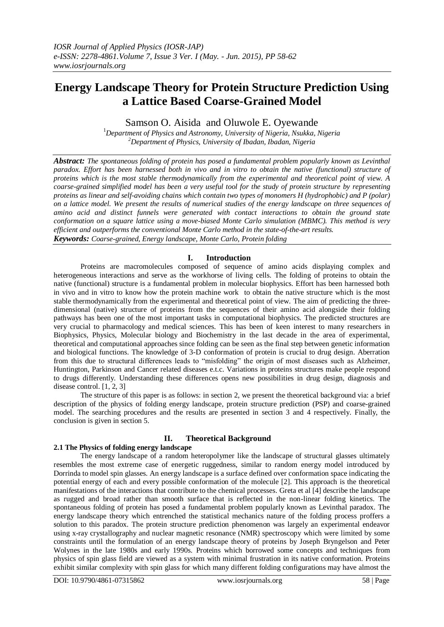# **Energy Landscape Theory for Protein Structure Prediction Using a Lattice Based Coarse-Grained Model**

Samson O. Aisida and Oluwole E. Oyewande

<sup>1</sup>*Department of Physics and Astronomy, University of Nigeria, Nsukka, Nigeria <sup>2</sup>Department of Physics, University of Ibadan, Ibadan, Nigeria*

*Abstract: The spontaneous folding of protein has posed a fundamental problem popularly known as Levinthal paradox. Effort has been harnessed both in vivo and in vitro to obtain the native (functional) structure of proteins which is the most stable thermodynamically from the experimental and theoretical point of view. A coarse-grained simplified model has been a very useful tool for the study of protein structure by representing proteins as linear and self-avoiding chains which contain two types of monomers H (hydrophobic) and P (polar) on a lattice model. We present the results of numerical studies of the energy landscape on three sequences of amino acid and distinct funnels were generated with contact interactions to obtain the ground state conformation on a square lattice using a move-biased Monte Carlo simulation (MBMC). This method is very efficient and outperforms the conventional Monte Carlo method in the state-of-the-art results. Keywords: Coarse-grained, Energy landscape, Monte Carlo, Protein folding*

# **I. Introduction**

Proteins are macromolecules composed of sequence of amino acids displaying complex and heterogeneous interactions and serve as the workhorse of living cells. The folding of proteins to obtain the native (functional) structure is a fundamental problem in molecular biophysics. Effort has been harnessed both in vivo and in vitro to know how the protein machine work to obtain the native structure which is the most stable thermodynamically from the experimental and theoretical point of view. The aim of predicting the threedimensional (native) structure of proteins from the sequences of their amino acid alongside their folding pathways has been one of the most important tasks in computational biophysics. The predicted structures are very crucial to pharmacology and medical sciences. This has been of keen interest to many researchers in Biophysics, Physics, Molecular biology and Biochemistry in the last decade in the area of experimental, theoretical and computational approaches since folding can be seen as the final step between genetic information and biological functions. The knowledge of 3-D conformation of protein is crucial to drug design. Aberration from this due to structural differences leads to "misfolding" the origin of most diseases such as Alzheimer, Huntington, Parkinson and Cancer related diseases e.t.c. Variations in proteins structures make people respond to drugs differently. Understanding these differences opens new possibilities in drug design, diagnosis and disease control. [1, 2, 3]

The structure of this paper is as follows: in section 2, we present the theoretical background via: a brief description of the physics of folding energy landscape, protein structure prediction (PSP) and coarse-grained model. The searching procedures and the results are presented in section 3 and 4 respectively. Finally, the conclusion is given in section 5.

# **II. Theoretical Background**

# **2.1 The Physics of folding energy landscape**

The energy landscape of a random heteropolymer like the landscape of structural glasses ultimately resembles the most extreme case of energetic ruggedness, similar to random energy model introduced by Dorrinda to model spin glasses. An energy landscape is a surface defined over conformation space indicating the potential energy of each and every possible conformation of the molecule [2]. This approach is the theoretical manifestations of the interactions that contribute to the chemical processes. Greta et al [4] describe the landscape as rugged and broad rather than smooth surface that is reflected in the non-linear folding kinetics. The spontaneous folding of protein has posed a fundamental problem popularly known as Levinthal paradox. The energy landscape theory which entrenched the statistical mechanics nature of the folding process proffers a solution to this paradox. The protein structure prediction phenomenon was largely an experimental endeavor using x-ray crystallography and nuclear magnetic resonance (NMR) spectroscopy which were limited by some constraints until the formulation of an energy landscape theory of proteins by Joseph Bryngelson and Peter Wolynes in the late 1980s and early 1990s. Proteins which borrowed some concepts and techniques from physics of spin glass field are viewed as a system with minimal frustration in its native conformation. Proteins exhibit similar complexity with spin glass for which many different folding configurations may have almost the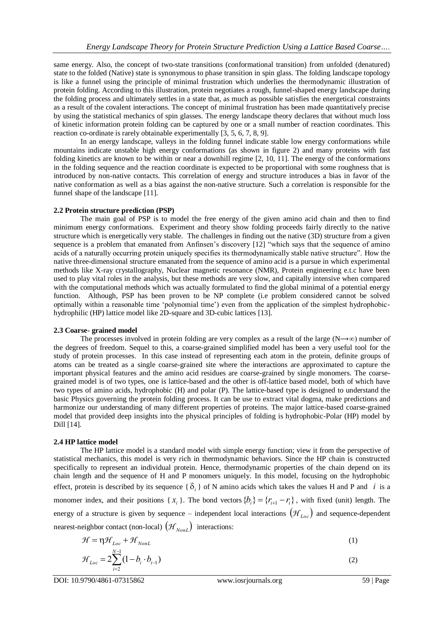same energy. Also, the concept of two-state transitions (conformational transition) from unfolded (denatured) state to the folded (Native) state is synonymous to phase transition in spin glass. The folding landscape topology is like a funnel using the principle of minimal frustration which underlies the thermodynamic illustration of protein folding. According to this illustration, protein negotiates a rough, funnel-shaped energy landscape during the folding process and ultimately settles in a state that, as much as possible satisfies the energetical constraints as a result of the covalent interactions. The concept of minimal frustration has been made quantitatively precise by using the statistical mechanics of spin glasses. The energy landscape theory declares that without much loss of kinetic information protein folding can be captured by one or a small number of reaction coordinates. This reaction co-ordinate is rarely obtainable experimentally [3, 5, 6, 7, 8, 9].

In an energy landscape, valleys in the folding funnel indicate stable low energy conformations while mountains indicate unstable high energy conformations (as shown in figure 2) and many proteins with fast folding kinetics are known to be within or near a downhill regime [2, 10, 11]. The energy of the conformations in the folding sequence and the reaction coordinate is expected to be proportional with some roughness that is introduced by non-native contacts. This correlation of energy and structure introduces a bias in favor of the native conformation as well as a bias against the non-native structure. Such a correlation is responsible for the funnel shape of the landscape [11].

### **2.2 Protein structure prediction (PSP)**

The main goal of PSP is to model the free energy of the given amino acid chain and then to find minimum energy conformations. Experiment and theory show folding proceeds fairly directly to the native structure which is energetically very stable. The challenges in finding out the native (3D) structure from a given sequence is a problem that emanated from Anfinsen's discovery [12] "which says that the sequence of amino acids of a naturally occurring protein uniquely specifies its thermodynamically stable native structure". How the native three-dimensional structure emanated from the sequence of amino acid is a pursue in which experimental methods like X-ray crystallography, Nuclear magnetic resonance (NMR), Protein engineering e.t.c have been used to play vital roles in the analysis, but these methods are very slow, and capitally intensive when compared with the computational methods which was actually formulated to find the global minimal of a potential energy function. Although, PSP has been proven to be NP complete (i.e problem considered cannot be solved optimally within a reasonable time "polynomial time") even from the application of the simplest hydrophobichydrophilic (HP) lattice model like 2D-square and 3D-cubic lattices [13].

#### **2.3 Coarse- grained model**

The processes involved in protein folding are very complex as a result of the large (N→∞) number of the degrees of freedom. Sequel to this, a coarse-grained simplified model has been a very useful tool for the study of protein processes. In this case instead of representing each atom in the protein, definite groups of atoms can be treated as a single coarse-grained site where the interactions are approximated to capture the important physical features and the amino acid residues are coarse-grained by single monomers. The coarsegrained model is of two types, one is lattice-based and the other is off-lattice based model, both of which have two types of amino acids, hydrophobic (H) and polar (P). The lattice-based type is designed to understand the basic Physics governing the protein folding process. It can be use to extract vital dogma, make predictions and harmonize our understanding of many different properties of proteins. The major lattice-based coarse-grained model that provided deep insights into the physical principles of folding is hydrophobic-Polar (HP) model by Dill [14].

# **2.4 HP lattice model**

The HP lattice model is a standard model with simple energy function; view it from the perspective of statistical mechanics, this model is very rich in thermodynamic behaviors. Since the HP chain is constructed specifically to represent an individual protein. Hence, thermodynamic properties of the chain depend on its chain length and the sequence of H and P monomers uniquely. In this model, focusing on the hydrophobic effect, protein is described by its sequence  $\{\delta_i\}$  of N amino acids which takes the values H and P and *i* is a monomer index, and their positions { $x_i$ }. The bond vectors { $b_i$ } = { $r_{i+1} - r_i$ }, with fixed (unit) length. The energy of a structure is given by sequence – independent local interactions  $(\mathcal{H}_{Loc})$  and sequence-dependent nearest-neighbor contact (non-local)  $(\mathcal{H}_{NonL})$  interactions:

$$
\mathcal{H} = \eta \mathcal{H}_{Loc} + \mathcal{H}_{NonL}
$$
 (1)

$$
\mathcal{H}_{Loc} = 2 \sum_{i=2}^{N-1} (1 - b_i \cdot b_{i-1})
$$
 (2)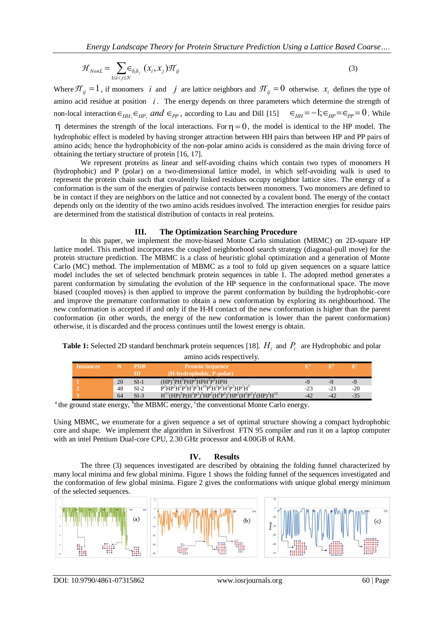$$
\mathcal{H}_{NonL} = \sum_{1 \le i < j \le N} \in_{\delta_i \delta_j} (x_i, x_j) \mathcal{H}_{ij} \tag{3}
$$

Where  $\pi_{ij} = 1$ , if monomers *i* and *j* are lattice neighbors and  $\pi_{ij} = 0$  otherwise.  $x_i$  defines the type of amino acid residue at position *i* . The energy depends on three parameters which determine the strength of non-local interaction  $\epsilon_{HH}$ ,  $\epsilon_{HP}$ , and  $\epsilon_{PP}$ , according to Lau and Dill [15]  $\epsilon_{HH} = -1$ ;  $\epsilon_{HP} = \epsilon_{PP} = 0$ . While  $\eta$  determines the strength of the local interactions. For  $\eta = 0$ , the model is identical to the HP model. The hydrophobic effect is modeled by having stronger attraction between HH pairs than between HP and PP pairs of amino acids; hence the hydrophobicity of the non-polar amino acids is considered as the main driving force of obtaining the tertiary structure of protein [16, 17].

We represent proteins as linear and self-avoiding chains which contain two types of monomers H (hydrophobic) and P (polar) on a two-dimensional lattice model, in which self-avoiding walk is used to represent the protein chain such that covalently linked residues occupy neighbor lattice sites. The energy of a conformation is the sum of the energies of pairwise contacts between monomers. Two monomers are defined to be in contact if they are neighbors on the lattice and not connected by a covalent bond. The energy of the contact depends only on the identity of the two amino acids residues involved. The interaction energies for residue pairs are determined from the statistical distribution of contacts in real proteins.

#### **III. The Optimization Searching Procedure**

*W* ance  $\frac{1}{2}$  consisten and *y* and *y* and *y* and *y* and *y* and *y* and *y* and *y* and *y* and *y* and *y* and *y* and *y* and *y* and *y* and *y* and *y* and *y* and *y* and *y* and *y* and *y* and *y* and *y* In this paper, we implement the move-biased Monte Carlo simulation (MBMC) on 2D-square HP lattice model. This method incorporates the coupled neighborhood search strategy (diagonal-pull move) for the protein structure prediction. The MBMC is a class of heuristic global optimization and a generation of Monte Carlo (MC) method. The implementation of MBMC as a tool to fold up given sequences on a square lattice model includes the set of selected benchmark protein sequences in table 1. The adopted method generates a parent conformation by simulating the evolution of the HP sequence in the conformational space. The move biased (coupled moves) is then applied to improve the parent conformation by building the hydrophobic-core and improve the premature conformation to obtain a new conformation by exploring its neighbourhood. The new conformation is accepted if and only if the H-H contact of the new conformation is higher than the parent conformation (in other words, the energy of the new conformation is lower than the parent conformation) otherwise, it is discarded and the process continues until the lowest energy is obtain.

**Table 1:** Selected 2D standard benchmark protein sequences [18].  $H_i$  and  $P_i$  are Hydrophobic and polar

| amino acids respectively. |
|---------------------------|
|---------------------------|

| <i><u><b>Instances</b></u></i> |    | <b>PDB</b> | <b>Protein Sequence</b>                                                                                                                                                                                                                 |       |       |       |
|--------------------------------|----|------------|-----------------------------------------------------------------------------------------------------------------------------------------------------------------------------------------------------------------------------------------|-------|-------|-------|
|                                |    | ID         | $(H-hvdrophobic, P-polar)$                                                                                                                                                                                                              |       |       |       |
|                                | 20 | $SI-1$     | $(HP)^2PH^2PHP^2HPH^2P^2HPH$                                                                                                                                                                                                            |       | _o    | Ly.   |
|                                | 48 | $SI-2$     | $P^2HP^2H^2P^2H^2P^5H^{10}P^6H^2P^2H^2P^2HP^2H^5$                                                                                                                                                                                       | $-23$ | $-21$ | $-20$ |
|                                | 64 | $SI-3$     | $H^{11}$ (HP) <sup>3</sup> P(H <sup>2</sup> P <sup>2</sup> ) <sup>2</sup> HP <sup>2</sup> (H <sup>2</sup> P <sup>2</sup> ) <sup>2</sup> HP <sup>2</sup> (H <sup>2</sup> P <sup>2</sup> ) <sup>2</sup> (HP) <sup>2</sup> H <sup>12</sup> |       | $-42$ | $-35$ |

<sup>a</sup> the ground state energy, <sup>b</sup>the MBMC energy, <sup>c</sup>the conventional Monte Carlo energy.

Using MBMC, we enumerate for a given sequence a set of optimal structure showing a compact hydrophobic core and shape. We implement the algorithm in Silverfrost FTN 95 compiler and run it on a laptop computer with an intel Pentium Dual-core CPU, 2.30 GHz processor and 4.00GB of RAM.

#### **IV. Results**

The three (3) sequences investigated are described by obtaining the folding funnel characterized by many local minima and few global minima. Figure 1 shows the folding funnel of the sequences investigated and the conformation of few global minima. Figure 2 gives the conformations with unique global energy minimum of the selected sequences.

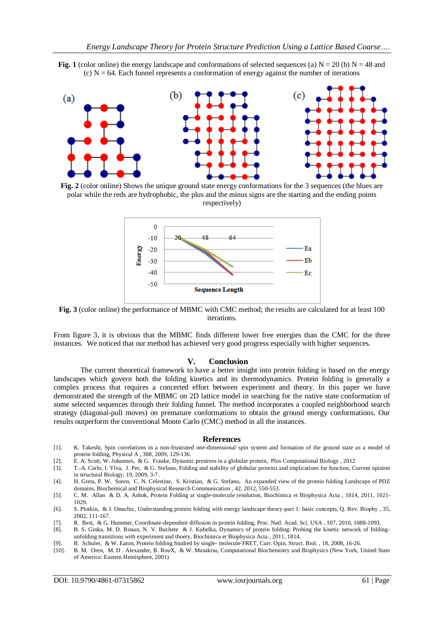



**Fig.** 2 (color online) Shows the unique ground state energy conformations for the 3 sequences (the blues are polar while the reds are hydrophobic, the plus and the minus signs are the starting and the ending points respectively)



**Fig. 3** (color online) the performance of MBMC with CMC method; the results are calculated for at least 100 iterations.

From figure 3, it is obvious that the MBMC finds different lower free energies than the CMC for the three instances. We noticed that our method has achieved very good progress especially with higher sequences.

#### **V. Conclusion**

The current theoretical framework to have a better insight into protein folding is based on the energy landscapes which govern both the folding kinetics and its thermodynamics. Protein folding is generally a complex process that requires a concerted effort between experiment and theory. In this paper we have demonstrated the strength of the MBMC on 2D lattice model in searching for the native state conformation of some selected sequences through their folding funnel. The method incorporates a coupled neighborhood search strategy (diagonal-pull moves) on premature conformations to obtain the ground energy conformations. Our results outperform the conventional Monte Carlo (CMC) method in all the instances.

#### **References**

- [1]. K. Takeshi, Spin correlations in a non-frustrated one-dimensional spin system and formation of the ground state as a model of protein folding, Physical A , 388, 2009, 129-136.
- [2]. E. A. Scott, W. Johannes, & G. Frauke, Dynamic prestress in a globular protein, Plos Computational Biology , 2012
- [3]. T.-A. Carlo, I. Ylva, J. Per, & G. Stefano, Folding and stability of globular proteins and implications for function, Current opinion in structural Biology, 19, 2009, 3-7.

[4]. H. Greta, P. W. Soren, C. N. Celestine, S. Kristian, & G. Stefano, An expanded view of the protein folding Landscape of PDZ domains, Biochemical and Biophysical Research Communication , 42, 2012, 550-553.

- [5]. C. M. Allan & D. A. Ashok, Protein Folding at single-molecule resolution, Biochimica et Biophysica Acta , 1814, 2011, 1021- 1029.
- [6]. S. Plotkin, & J. Onuchic, Understanding protein folding with energy landscape theory-part 1: basic concepts, Q. Rev. Biophy , 35, 2002, 111-167.
- [7]. R. Best, & G. Hummer, Coordinate-dependent diffusion in protein folding, Proc. Natl. Acad. Sci. USA , 107, 2010, 1088-1093.
- [8]. B. S. Ginka, M. D. Ronan, N. V. Buchete & J. Kubelka, Dynamics of protein folding: Probing the kinetic network of foldingunfolding transitions with experiment and thoery, Biochimica et Biophysica Acta , 2011, 1814.
- [9]. B. Schuler, & W. Eaton, Protein folding Studied by single- molecule FRET, Curr. Opin. Struct. Biol. , 18, 2008, 16-26.
- [10]. B. M. Oren, M. D . Alexander, B. RouX, & W. Masaktsu, Computational Biochemistry and Biophysics (New York, United State of America: Eastern Hemisphere, 2001)